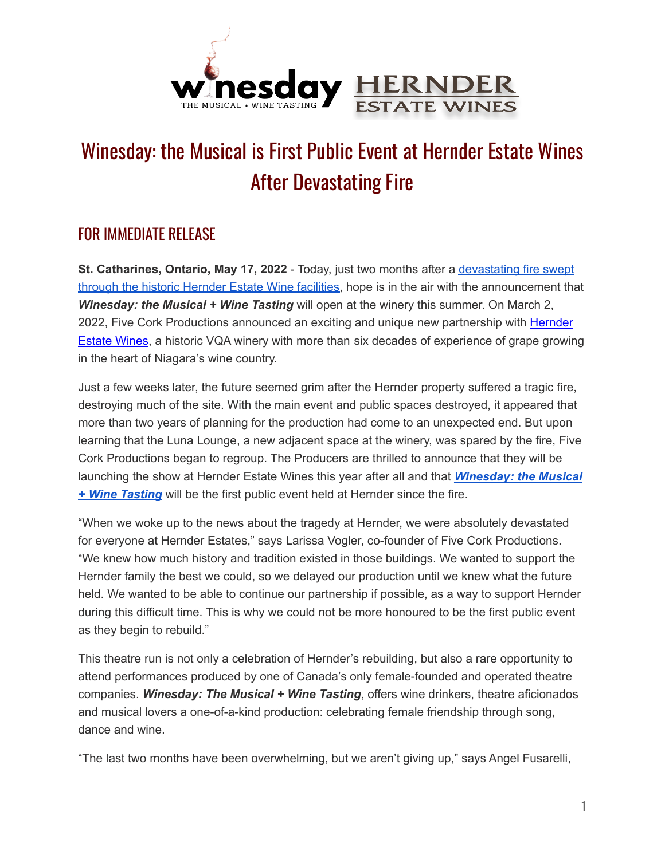

## Winesday: the Musical is First Public Event at Hernder Estate Wines After Devastating Fire

## FOR IMMEDIATE RELEASE

**St. Catharines, Ontario, May 17, 2022** - Today, just two months after a [devastating](https://www.chch.com/4-injured-after-fire-at-hernder-estate-wines-in-st-catharines/) fire swept through the historic [Hernder](https://www.chch.com/4-injured-after-fire-at-hernder-estate-wines-in-st-catharines/) Estate Wine facilities, hope is in the air with the announcement that *Winesday: the Musical + Wine Tasting* will open at the winery this summer. On March 2, 2022, Five Cork Productions announced an exciting and unique new partnership with [Hernder](https://www.hernder.com) [Estate](https://www.hernder.com) Wines, a historic VQA winery with more than six decades of experience of grape growing in the heart of Niagara's wine country.

Just a few weeks later, the future seemed grim after the Hernder property suffered a tragic fire, destroying much of the site. With the main event and public spaces destroyed, it appeared that more than two years of planning for the production had come to an unexpected end. But upon learning that the Luna Lounge, a new adjacent space at the winery, was spared by the fire, Five Cork Productions began to regroup. The Producers are thrilled to announce that they will be launching the show at Hernder Estate Wines this year after all and that *[Winesday:](https://www.winesdaymusical.com) the Musical + Wine [Tasting](https://www.winesdaymusical.com)* will be the first public event held at Hernder since the fire.

"When we woke up to the news about the tragedy at Hernder, we were absolutely devastated for everyone at Hernder Estates," says Larissa Vogler, co-founder of Five Cork Productions. "We knew how much history and tradition existed in those buildings. We wanted to support the Hernder family the best we could, so we delayed our production until we knew what the future held. We wanted to be able to continue our partnership if possible, as a way to support Hernder during this difficult time. This is why we could not be more honoured to be the first public event as they begin to rebuild."

This theatre run is not only a celebration of Hernder's rebuilding, but also a rare opportunity to attend performances produced by one of Canada's only female-founded and operated theatre companies. *Winesday: The Musical + Wine Tasting*, offers wine drinkers, theatre aficionados and musical lovers a one-of-a-kind production: celebrating female friendship through song, dance and wine.

"The last two months have been overwhelming, but we aren't giving up," says Angel Fusarelli,